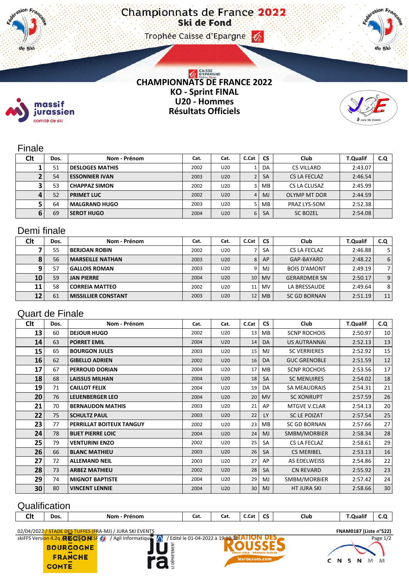#### Trophee Caisse d'Epargne (2)



# **CHAMPIONNATS DE FRANCE 2022 KO - Sprint FINAL U20 - Hommes Résultats Officiels**



### Finale

massif jurassien comité de ski

11. de Ski

| <b>Clt</b> | Dos. | Nom - Prénom           | Cat. | Cat.            | C.Cat | <b>CS</b> | Club              | <b>T.Qualif</b> | C.Q |
|------------|------|------------------------|------|-----------------|-------|-----------|-------------------|-----------------|-----|
|            | 51   | <b>DESLOGES MATHIS</b> | 2002 | U20             |       | DA        | <b>CS VILLARD</b> | 2:43.07         |     |
|            | 54   | <b>ESSONNIER IVAN</b>  | 2003 | U20             |       | <b>SA</b> | CS LA FECLAZ      | 2:46.54         |     |
|            | 53   | <b>CHAPPAZ SIMON</b>   | 2002 | U20             |       | MВ        | CS LA CLUSAZ      | 2:45.99         |     |
| 4          | 52   | <b>PRIMET LUC</b>      | 2002 | U <sub>20</sub> | 4     | <b>MJ</b> | OLYMP MT DOR      | 2:44.59         |     |
|            | 64   | <b>MALGRAND HUGO</b>   | 2003 | U20             |       | MВ        | PRAZ LYS-SOM      | 2:52.38         |     |
| 6          | 69   | <b>SEROT HUGO</b>      | 2004 | U20             | 6     | <b>SA</b> | <b>SC BOZEL</b>   | 2:54.08         |     |

## Demi finale

| Clt | Dos. | Nom - Prénom               | Cat. | Cat. | C.Cat | <b>CS</b> | Club                | <b>T.Qualif</b> | C.Q            |
|-----|------|----------------------------|------|------|-------|-----------|---------------------|-----------------|----------------|
|     | 55   | <b>BERJOAN ROBIN</b>       | 2002 | U20  |       | SA        | CS LA FECLAZ        | 2:46.88         | 5.             |
| ō   | 56   | <b>MARSEILLE NATHAN</b>    | 2003 | U20  | 8     | AP        | GAP-BAYARD          | 2:48.22         | 6              |
| 9   | 57   | <b>GALLOIS ROMAN</b>       | 2003 | U20  | 9     | MJ        | <b>BOIS D'AMONT</b> | 2:49.19         | $\overline{7}$ |
| 10  | 59   | <b>JAN PIERRE</b>          | 2004 | U20  | 10    | <b>MV</b> | <b>GERARDMER SN</b> | 2:50.17         | 9              |
| 11  | 58   | <b>CORREIA MATTEO</b>      | 2002 | U20  | 11    | <b>MV</b> | LA BRESSAUDE        | 2:49.64         | 8              |
| 12  | 61   | <b>MISSILLIER CONSTANT</b> | 2003 | U20  | 12    | <b>MB</b> | <b>SC GD BORNAN</b> | 2:51.19         | 11             |

## Quart de Finale

| Clt | Dos. | Nom - Prénom             | Cat. | Cat. | C.Cat | <b>CS</b> | <b>Club</b>         | <b>T.Qualif</b> | C.Q             |
|-----|------|--------------------------|------|------|-------|-----------|---------------------|-----------------|-----------------|
| 13  | 60   | <b>DEJOUR HUGO</b>       | 2002 | U20  | 13    | МB        | <b>SCNP ROCHOIS</b> | 2:50.97         | 10              |
| 14  | 63   | <b>PORRET EMIL</b>       | 2004 | U20  | 14    | DA        | <b>US AUTRANNAI</b> | 2:52.13         | 13              |
| 15  | 65   | <b>BOURGON JULES</b>     | 2003 | U20  | 15    | MJ        | <b>SC VERRIERES</b> | 2:52.92         | 15              |
| 16  | 62   | <b>GIBELLO ADRIEN</b>    | 2002 | U20  | 16    | <b>DA</b> | <b>GUC GRENOBLE</b> | 2:51.59         | 12              |
| 17  | 67   | <b>PERROUD DORIAN</b>    | 2004 | U20  | 17    | МB        | <b>SCNP ROCHOIS</b> | 2:53.56         | 17 <sup>1</sup> |
| 18  | 68   | <b>LAISSUS MILHAN</b>    | 2004 | U20  | 18    | SA        | <b>SC MENUIRES</b>  | 2:54.02         | 18              |
| 19  | 71   | <b>CAILLOT FELIX</b>     | 2004 | U20  | 19    | DA        | <b>SA MEAUDRAIS</b> | 2:54.31         | 21              |
| 20  | 76   | <b>LEUENBERGER LEO</b>   | 2004 | U20  | 20    | <b>MV</b> | <b>SC XONRUPT</b>   | 2:57.59         | 26              |
| 21  | 70   | <b>BERNAUDON MATHIS</b>  | 2003 | U20  | 21    | AP        | MTGVE V.CLAR        | 2:54.13         | 20              |
| 22  | 75   | <b>SCHULTZ PAUL</b>      | 2003 | U20  | 22    | <b>LY</b> | <b>SC LE POIZAT</b> | 2:57.54         | 25              |
| 23  | 77   | PERRILLAT BOITEUX TANGUY | 2002 | U20  | 23    | MB        | <b>SC GD BORNAN</b> | 2:57.66         | 27              |
| 24  | 78   | <b>BUET PIERRE LOIC</b>  | 2004 | U20  | 24    | MJ        | SMBM/MORBIER        | 2:58.34         | 28              |
| 25  | 79   | <b>VENTURINI ENZO</b>    | 2002 | U20  | 25    | <b>SA</b> | CS LA FECLAZ        | 2:58.61         | 29              |
| 26  | 66   | <b>BLANC MATHIEU</b>     | 2003 | U20  | 26    | <b>SA</b> | <b>CS MERIBEL</b>   | 2:53.13         | 16              |
| 27  | 72   | <b>ALLEMAND NEIL</b>     | 2003 | U20  | 27    | AP        | AS EDELWEISS        | 2:54.86         | 22              |
| 28  | 73   | <b>ARBEZ MATHIEU</b>     | 2002 | U20  | 28    | <b>SA</b> | <b>CN REVARD</b>    | 2:55.92         | 23              |
| 29  | 74   | <b>MIGNOT BAPTISTE</b>   | 2004 | U20  | 29    | MJ        | SMBM/MORBIER        | 2:57.42         | 24              |
| 30  | 80   | <b>VINCENT LENNIE</b>    | 2004 | U20  | 30    | <b>MJ</b> | <b>HT JURA SKI</b>  | 2:58.66         | 30              |

# **Qualification**

| Clt | Dos. | Nom<br><sup>o</sup> rénom | Cat. | Cat. | .<br>C.Cat<br>____ | $\sim$<br>ີ | Club | <b>T.Qualif</b><br>. |  |
|-----|------|---------------------------|------|------|--------------------|-------------|------|----------------------|--|
|     |      |                           |      |      |                    |             |      |                      |  |

E DÉPARTEMENT

02/04/2022 / STADE DES TUFFES (FRA-MJ) / JURA SKI EVENTS **FNAM0187 (Liste n°522)**

**BOURGOGNE** 

**FRANCHE COMTE**